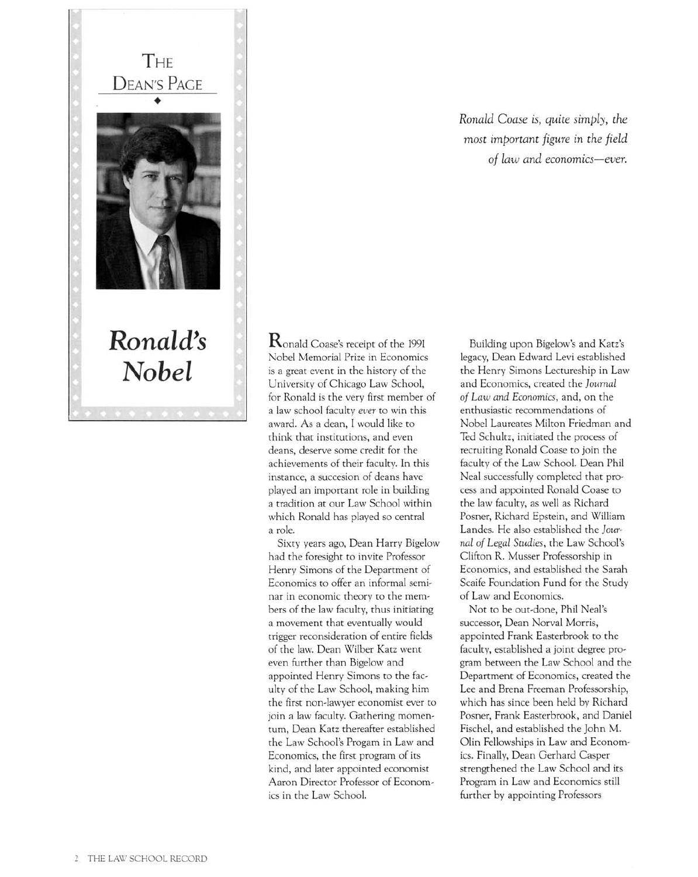

 $\rm R$ onald Coase's receipt of the 1991 Nobel Memorial Prize in Economics is <sup>a</sup> great event in the history of the University of Chicago Law School, for Ronald is the very first member of <sup>a</sup> law school faculty ever to win this award. As <sup>a</sup> dean, I would like to think that institutions, and even deans, deserve some credit for the achievements of their faculty. In this instance, <sup>a</sup> succesion of deans have played an important role in building <sup>a</sup> tradition at our Law School within which Ronald has played so central a role.

Sixty years ago, Dean Harry Bigelow had the foresight to invite Professor Henry Simons of the Department of Economics to offer an informal seminar in economic theory to the mernbers of the law faculty, thus initiating <sup>a</sup> movement that eventually would trigger reconsideration of entire fields of the law. Dean Wilber Katz went even further than Bigelow and appointed Henry Simons to the faculty of the Law School, making him the first non-lawyer economist ever to join a law faculty. Gathering momentum, Dean Katz thereafter established the Law School's Progam in Law and Economics, the first program of its kind, and later appointed economist Aaron Director Professor of Economics in the Law School.

Ronald Coase is, quite simply, the most important figure in the field of law and economics-ever.

Building upon Bigelow's and Katz's legacy, Dean Edward Levi established the Henry Simons Lectureship in Law and Economics, created the Journal of Law and Economics, and, on the enthusiastic recommendations of Nobel Laureates Milton Friedman and Ted Schultz, initiated the process of recruiting Ronald Coase to join the faculty of the Law School. Dean Phil Neal successfully completed that process and appointed Ronald Coase to the law faculty, as well as Richard Posner, Richard Epstein, and William Landes. He also established the Journal of Legal Studies, the Law School's Clifton R. Musser Professorship in Economics, and established the Sarah Scaife Foundation Fund for the Study of Law and Economics.

Not to be out-done, Phil Neal's successor, Dean Norval Morris, appointed Frank Easterbrook to the faculty, established <sup>a</sup> joint degree program between the Law School and the Department of Economics, created the Lee and Brena Freeman Professorship, which has since been held by Richard Posner, Frank Easterbrook, and Daniel Fischel, and established the John M. Olin Fellowships in Law and Economics. Finally, Dean Gerhard Casper strengthened the Law School and its Program in Law and Economics still further by appointing Professors